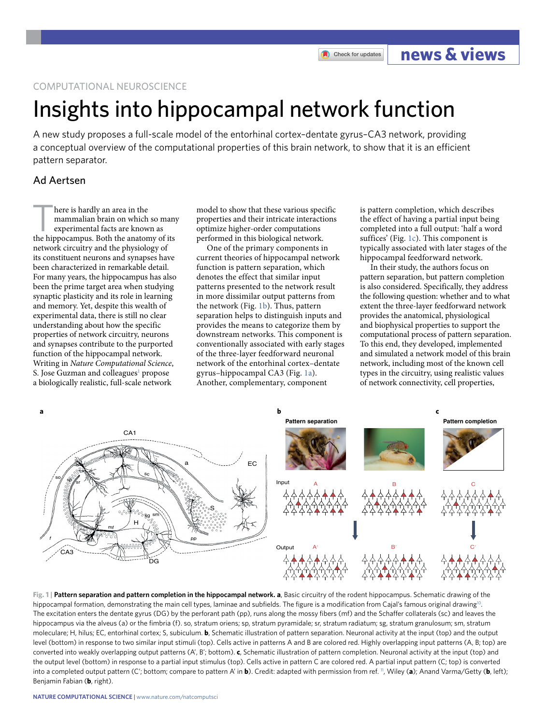COMPUTATIONAL NEUROSCIENCE

## Insights into hippocampal network function

A new study proposes a full-scale model of the entorhinal cortex–dentate gyrus–CA3 network, providing a conceptual overview of the computational properties of this brain network, to show that it is an efficient pattern separator.

## Ad Aertsen

here is hardly an area in the mammalian brain on which so many experimental facts are known as the hippocampus. Both the anatomy of its network circuitry and the physiology of its constituent neurons and synapses have been characterized in remarkable detail. For many years, the hippocampus has also been the prime target area when studying synaptic plasticity and its role in learning and memory. Yet, despite this wealth of experimental data, there is still no clear understanding about how the specific properties of network circuitry, neurons and synapses contribute to the purported function of the hippocampal network. Writing in *Nature Computational Science*, S. Jose Guzman and colleagues<sup>1</sup> propose a biologically realistic, full-scale network

model to show that these various specific properties and their intricate interactions optimize higher-order computations performed in this biological network.

One of the primary components in current theories of hippocampal network function is pattern separation, which denotes the effect that similar input patterns presented to the network result in more dissimilar output patterns from the network (Fig. [1b\)](#page-0-0). Thus, pattern separation helps to distinguish inputs and provides the means to categorize them by downstream networks. This component is conventionally associated with early stages of the three-layer feedforward neuronal network of the entorhinal cortex–dentate gyrus–hippocampal CA3 (Fig. [1a\)](#page-0-0). Another, complementary, component

is pattern completion, which describes the effect of having a partial input being completed into a full output: 'half a word suffices' (Fig. [1c\)](#page-0-0). This component is typically associated with later stages of the hippocampal feedforward network.

**news & views**

Check for updates

In their study, the authors focus on pattern separation, but pattern completion is also considered. Specifically, they address the following question: whether and to what extent the three-layer feedforward network provides the anatomical, physiological and biophysical properties to support the computational process of pattern separation. To this end, they developed, implemented and simulated a network model of this brain network, including most of the known cell types in the circuitry, using realistic values of network connectivity, cell properties,



<span id="page-0-0"></span>**Fig. 1 | Pattern separation and pattern completion in the hippocampal network. a**, Basic circuitry of the rodent hippocampus. Schematic drawing of the hippocampal formation, demonstrating the main cell types, laminae and subfields. The figure is a modification from Cajal's famous original drawing<sup>10</sup>. The excitation enters the dentate gyrus (DG) by the perforant path (pp), runs along the mossy fibers (mf) and the Schaffer collaterals (sc) and leaves the hippocampus via the alveus (a) or the fimbria (f). so, stratum oriens; sp, stratum pyramidale; sr, stratum radiatum; sg, stratum granulosum; sm, stratum moleculare; H, hilus; EC, entorhinal cortex; S, subiculum. **b**, Schematic illustration of pattern separation. Neuronal activity at the input (top) and the output level (bottom) in response to two similar input stimuli (top). Cells active in patterns A and B are colored red. Highly overlapping input patterns (A, B; top) are converted into weakly overlapping output patterns (A', B'; bottom). **c**, Schematic illustration of pattern completion. Neuronal activity at the input (top) and the output level (bottom) in response to a partial input stimulus (top). Cells active in pattern C are colored red. A partial input pattern (C; top) is converted into a completed output pattern (C'; bottom; compare to pattern A' in **b**). Credit: adapted with permission from ref. [11,](#page-1-2) Wiley (**a**); Anand Varma/Getty (**b**, left); Benjamin Fabian (**b**, right).